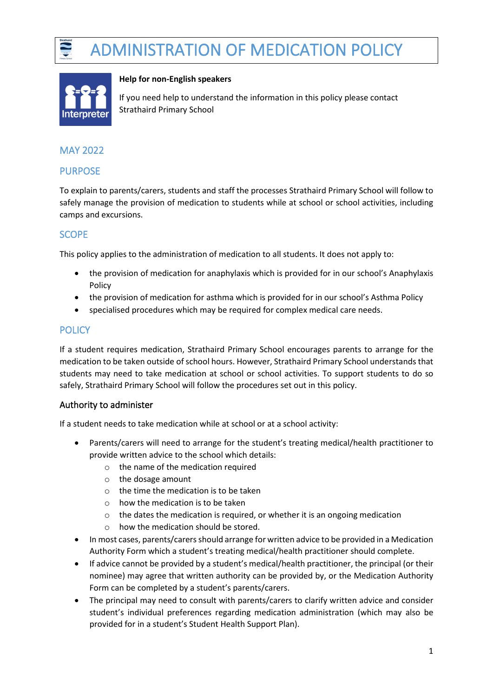



#### **Help for non-English speakers**

If you need help to understand the information in this policy please contact Strathaird Primary School

# MAY 2022

### PURPOSE

To explain to parents/carers, students and staff the processes Strathaird Primary School will follow to safely manage the provision of medication to students while at school or school activities, including camps and excursions.

# **SCOPE**

This policy applies to the administration of medication to all students. It does not apply to:

- the provision of medication for anaphylaxis which is provided for in our school's Anaphylaxis Policy
- the provision of medication for asthma which is provided for in our school's Asthma Policy
- specialised procedures which may be required for complex medical care needs.

## **POLICY**

If a student requires medication, Strathaird Primary School encourages parents to arrange for the medication to be taken outside of school hours. However, Strathaird Primary School understands that students may need to take medication at school or school activities. To support students to do so safely, Strathaird Primary School will follow the procedures set out in this policy.

#### Authority to administer

If a student needs to take medication while at school or at a school activity:

- Parents/carers will need to arrange for the student's treating medical/health practitioner to provide written advice to the school which details:
	- o the name of the medication required
	- o the dosage amount
	- o the time the medication is to be taken
	- o how the medication is to be taken
	- o the dates the medication is required, or whether it is an ongoing medication
	- o how the medication should be stored.
- In most cases, parents/carers should arrange for written advice to be provided in a Medication Authority Form which a student's treating medical/health practitioner should complete.
- If advice cannot be provided by a student's medical/health practitioner, the principal (or their nominee) may agree that written authority can be provided by, or the Medication Authority Form can be completed by a student's parents/carers.
- The principal may need to consult with parents/carers to clarify written advice and consider student's individual preferences regarding medication administration (which may also be provided for in a student's Student Health Support Plan).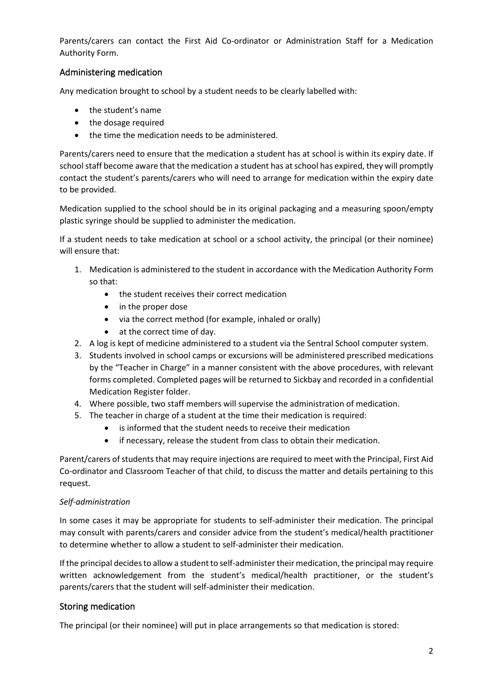Parents/carers can contact the First Aid Co-ordinator or Administration Staff for a Medication Authority Form.

### Administering medication

Any medication brought to school by a student needs to be clearly labelled with:

- the student's name
- the dosage required
- the time the medication needs to be administered.

Parents/carers need to ensure that the medication a student has at school is within its expiry date. If school staff become aware that the medication a student has at school has expired, they will promptly contact the student's parents/carers who will need to arrange for medication within the expiry date to be provided.

Medication supplied to the school should be in its original packaging and a measuring spoon/empty plastic syringe should be supplied to administer the medication.

If a student needs to take medication at school or a school activity, the principal (or their nominee) will ensure that:

- 1. Medication is administered to the student in accordance with the Medication Authority Form so that:
	- the student receives their correct medication
	- in the proper dose
	- via the correct method (for example, inhaled or orally)
	- at the correct time of day.
- 2. A log is kept of medicine administered to a student via the Sentral School computer system.
- 3. Students involved in school camps or excursions will be administered prescribed medications by the "Teacher in Charge" in a manner consistent with the above procedures, with relevant forms completed. Completed pages will be returned to Sickbay and recorded in a confidential Medication Register folder.
- 4. Where possible, two staff members will supervise the administration of medication.
- 5. The teacher in charge of a student at the time their medication is required:
	- is informed that the student needs to receive their medication
	- if necessary, release the student from class to obtain their medication.

Parent/carers of students that may require injections are required to meet with the Principal, First Aid Co-ordinator and Classroom Teacher of that child, to discuss the matter and details pertaining to this request.

#### *Self-administration*

In some cases it may be appropriate for students to self-administer their medication. The principal may consult with parents/carers and consider advice from the student's medical/health practitioner to determine whether to allow a student to self-administer their medication.

If the principal decides to allow a student to self-administer their medication, the principal may require written acknowledgement from the student's medical/health practitioner, or the student's parents/carers that the student will self-administer their medication.

#### Storing medication

The principal (or their nominee) will put in place arrangements so that medication is stored: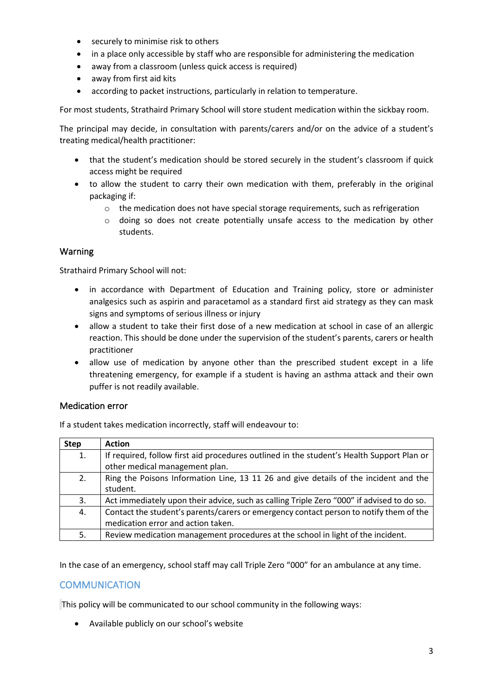- securely to minimise risk to others
- in a place only accessible by staff who are responsible for administering the medication
- away from a classroom (unless quick access is required)
- away from first aid kits
- according to packet instructions, particularly in relation to temperature.

For most students, Strathaird Primary School will store student medication within the sickbay room.

The principal may decide, in consultation with parents/carers and/or on the advice of a student's treating medical/health practitioner:

- that the student's medication should be stored securely in the student's classroom if quick access might be required
- to allow the student to carry their own medication with them, preferably in the original packaging if:
	- $\circ$  the medication does not have special storage requirements, such as refrigeration
	- o doing so does not create potentially unsafe access to the medication by other students.

### Warning

Strathaird Primary School will not:

- in accordance with Department of Education and Training policy, store or administer analgesics such as aspirin and paracetamol as a standard first aid strategy as they can mask signs and symptoms of serious illness or injury
- allow a student to take their first dose of a new medication at school in case of an allergic reaction. This should be done under the supervision of the student's parents, carers or health practitioner
- allow use of medication by anyone other than the prescribed student except in a life threatening emergency, for example if a student is having an asthma attack and their own puffer is not readily available.

#### Medication error

If a student takes medication incorrectly, staff will endeavour to:

| <b>Step</b> | <b>Action</b>                                                                             |
|-------------|-------------------------------------------------------------------------------------------|
| 1.          | If required, follow first aid procedures outlined in the student's Health Support Plan or |
|             | other medical management plan.                                                            |
| 2.          | Ring the Poisons Information Line, 13 11 26 and give details of the incident and the      |
|             | student.                                                                                  |
| 3.          | Act immediately upon their advice, such as calling Triple Zero "000" if advised to do so. |
| 4.          | Contact the student's parents/carers or emergency contact person to notify them of the    |
|             | medication error and action taken.                                                        |
| 5.          | Review medication management procedures at the school in light of the incident.           |

In the case of an emergency, school staff may call Triple Zero "000" for an ambulance at any time.

## **COMMUNICATION**

This policy will be communicated to our school community in the following ways:

• Available publicly on our school's website